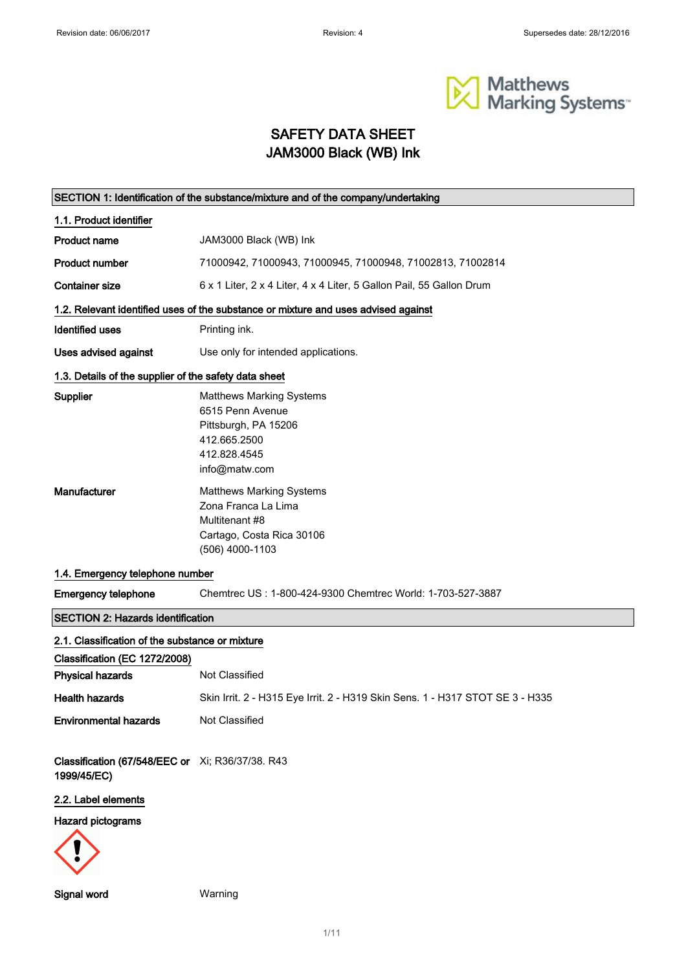

# SAFETY DATA SHEET JAM3000 Black (WB) Ink

| SECTION 1: Identification of the substance/mixture and of the company/undertaking |                                                                                                                              |  |  |  |
|-----------------------------------------------------------------------------------|------------------------------------------------------------------------------------------------------------------------------|--|--|--|
| 1.1. Product identifier                                                           |                                                                                                                              |  |  |  |
| <b>Product name</b>                                                               | JAM3000 Black (WB) Ink                                                                                                       |  |  |  |
| <b>Product number</b>                                                             | 71000942, 71000943, 71000945, 71000948, 71002813, 71002814                                                                   |  |  |  |
| <b>Container size</b>                                                             | 6 x 1 Liter, 2 x 4 Liter, 4 x 4 Liter, 5 Gallon Pail, 55 Gallon Drum                                                         |  |  |  |
|                                                                                   | 1.2. Relevant identified uses of the substance or mixture and uses advised against                                           |  |  |  |
| <b>Identified uses</b>                                                            | Printing ink.                                                                                                                |  |  |  |
| Uses advised against                                                              | Use only for intended applications.                                                                                          |  |  |  |
| 1.3. Details of the supplier of the safety data sheet                             |                                                                                                                              |  |  |  |
| Supplier                                                                          | <b>Matthews Marking Systems</b><br>6515 Penn Avenue<br>Pittsburgh, PA 15206<br>412.665.2500<br>412.828.4545<br>info@matw.com |  |  |  |
| Manufacturer                                                                      | <b>Matthews Marking Systems</b><br>Zona Franca La Lima<br>Multitenant #8<br>Cartago, Costa Rica 30106<br>(506) 4000-1103     |  |  |  |
| 1.4. Emergency telephone number                                                   |                                                                                                                              |  |  |  |
| <b>Emergency telephone</b>                                                        | Chemtrec US: 1-800-424-9300 Chemtrec World: 1-703-527-3887                                                                   |  |  |  |
| <b>SECTION 2: Hazards identification</b>                                          |                                                                                                                              |  |  |  |
| 2.1. Classification of the substance or mixture                                   |                                                                                                                              |  |  |  |
| Classification (EC 1272/2008)                                                     |                                                                                                                              |  |  |  |
| <b>Physical hazards</b>                                                           | Not Classified                                                                                                               |  |  |  |
| <b>Health hazards</b>                                                             | Skin Irrit. 2 - H315 Eye Irrit. 2 - H319 Skin Sens. 1 - H317 STOT SE 3 - H335                                                |  |  |  |
| <b>Environmental hazards</b>                                                      | Not Classified                                                                                                               |  |  |  |
| Classification (67/548/EEC or Xi; R36/37/38. R43<br>1999/45/EC)                   |                                                                                                                              |  |  |  |
| 2.2. Label elements                                                               |                                                                                                                              |  |  |  |
| Hazard pictograms                                                                 |                                                                                                                              |  |  |  |

Signal word Warning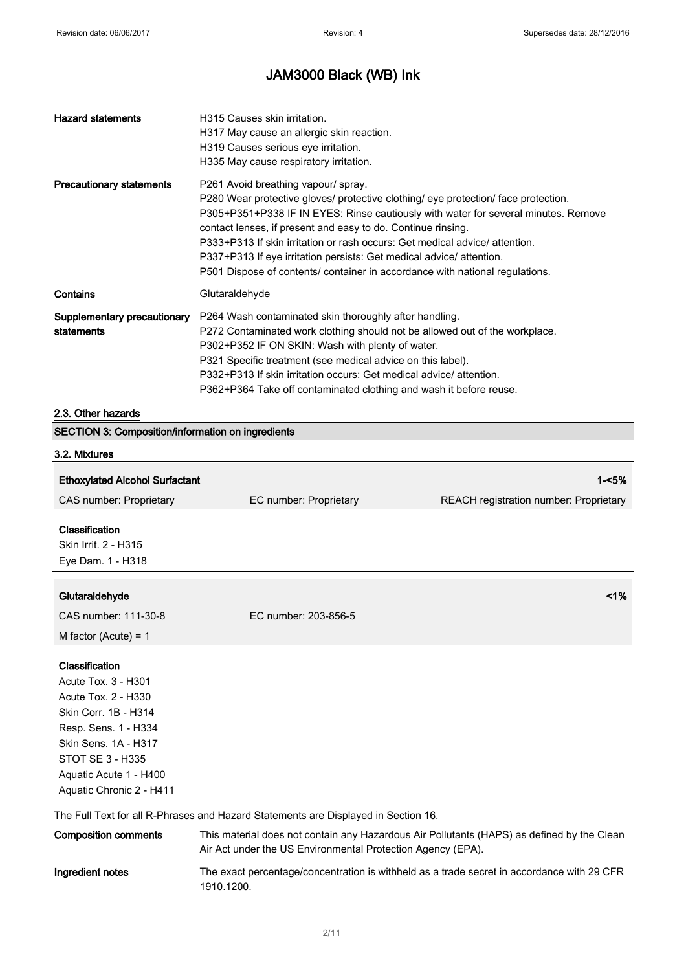# JAM3000 Black (WB) Ink

| <b>Hazard statements</b>                                 | H315 Causes skin irritation.<br>H317 May cause an allergic skin reaction.<br>H319 Causes serious eye irritation.<br>H335 May cause respiratory irritation.                                                                                                                                                                                                                                                                                                                                                           |
|----------------------------------------------------------|----------------------------------------------------------------------------------------------------------------------------------------------------------------------------------------------------------------------------------------------------------------------------------------------------------------------------------------------------------------------------------------------------------------------------------------------------------------------------------------------------------------------|
| <b>Precautionary statements</b>                          | P261 Avoid breathing vapour/ spray.<br>P280 Wear protective gloves/ protective clothing/ eye protection/ face protection.<br>P305+P351+P338 IF IN EYES: Rinse cautiously with water for several minutes. Remove<br>contact lenses, if present and easy to do. Continue rinsing.<br>P333+P313 If skin irritation or rash occurs: Get medical advice/attention.<br>P337+P313 If eye irritation persists: Get medical advice/attention.<br>P501 Dispose of contents/ container in accordance with national regulations. |
| Contains                                                 | Glutaraldehyde                                                                                                                                                                                                                                                                                                                                                                                                                                                                                                       |
| Supplementary precautionary<br>statements                | P264 Wash contaminated skin thoroughly after handling.<br>P272 Contaminated work clothing should not be allowed out of the workplace.<br>P302+P352 IF ON SKIN: Wash with plenty of water.<br>P321 Specific treatment (see medical advice on this label).<br>P332+P313 If skin irritation occurs: Get medical advice/attention.<br>P362+P364 Take off contaminated clothing and wash it before reuse.                                                                                                                 |
| 2.3. Other hazards                                       |                                                                                                                                                                                                                                                                                                                                                                                                                                                                                                                      |
| <b>SECTION 3: Composition/information on ingredients</b> |                                                                                                                                                                                                                                                                                                                                                                                                                                                                                                                      |
| 3.2. Mixtures                                            |                                                                                                                                                                                                                                                                                                                                                                                                                                                                                                                      |
|                                                          |                                                                                                                                                                                                                                                                                                                                                                                                                                                                                                                      |

| <b>Ethoxylated Alcohol Surfactant</b>                       |                        | $1 - 5%$                               |
|-------------------------------------------------------------|------------------------|----------------------------------------|
| CAS number: Proprietary                                     | EC number: Proprietary | REACH registration number: Proprietary |
| Classification<br>Skin Irrit. 2 - H315<br>Eye Dam. 1 - H318 |                        |                                        |
| Glutaraldehyde                                              |                        | $1\%$                                  |
| CAS number: 111-30-8                                        | EC number: 203-856-5   |                                        |
| M factor (Acute) = $1$                                      |                        |                                        |
| Classification                                              |                        |                                        |
| Acute Tox. 3 - H301                                         |                        |                                        |
| Acute Tox. 2 - H330                                         |                        |                                        |
| Skin Corr. 1B - H314                                        |                        |                                        |
| Resp. Sens. 1 - H334                                        |                        |                                        |
| Skin Sens, 1A - H317                                        |                        |                                        |
| STOT SE 3 - H335                                            |                        |                                        |
| Aquatic Acute 1 - H400                                      |                        |                                        |
| Aquatic Chronic 2 - H411                                    |                        |                                        |

The Full Text for all R-Phrases and Hazard Statements are Displayed in Section 16.

| <b>Composition comments</b> | This material does not contain any Hazardous Air Pollutants (HAPS) as defined by the Clean<br>Air Act under the US Environmental Protection Agency (EPA). |
|-----------------------------|-----------------------------------------------------------------------------------------------------------------------------------------------------------|
| Ingredient notes            | The exact percentage/concentration is withheld as a trade secret in accordance with 29 CFR<br>1910.1200.                                                  |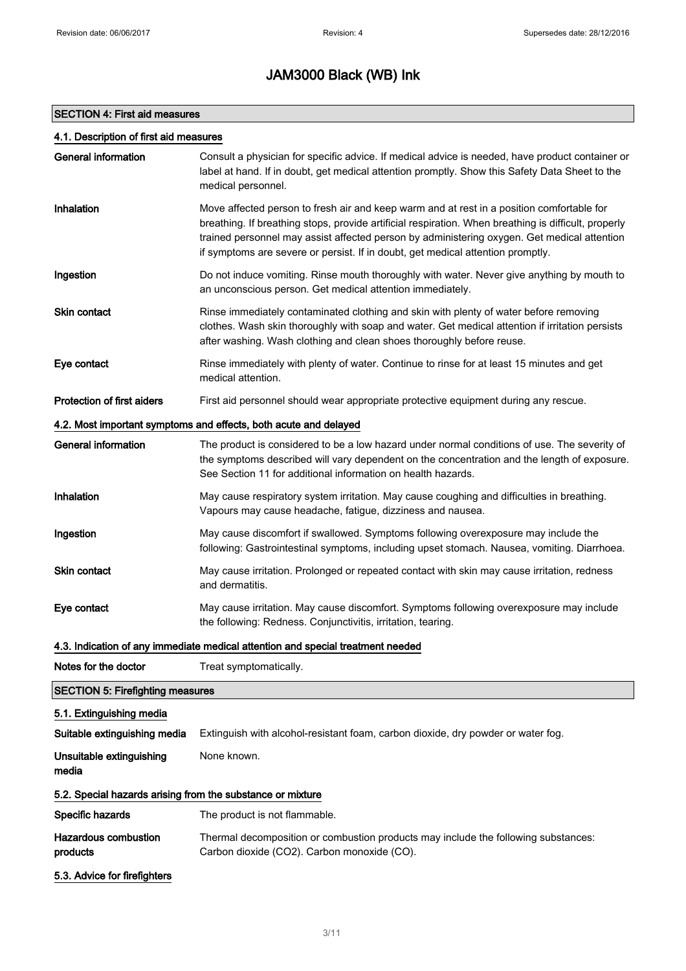### SECTION 4: First aid measures

### 4.1. Description of first aid measures

| General information                                        | Consult a physician for specific advice. If medical advice is needed, have product container or<br>label at hand. If in doubt, get medical attention promptly. Show this Safety Data Sheet to the<br>medical personnel.                                                                                                                                                             |  |
|------------------------------------------------------------|-------------------------------------------------------------------------------------------------------------------------------------------------------------------------------------------------------------------------------------------------------------------------------------------------------------------------------------------------------------------------------------|--|
| Inhalation                                                 | Move affected person to fresh air and keep warm and at rest in a position comfortable for<br>breathing. If breathing stops, provide artificial respiration. When breathing is difficult, properly<br>trained personnel may assist affected person by administering oxygen. Get medical attention<br>if symptoms are severe or persist. If in doubt, get medical attention promptly. |  |
| Ingestion                                                  | Do not induce vomiting. Rinse mouth thoroughly with water. Never give anything by mouth to<br>an unconscious person. Get medical attention immediately.                                                                                                                                                                                                                             |  |
| <b>Skin contact</b>                                        | Rinse immediately contaminated clothing and skin with plenty of water before removing<br>clothes. Wash skin thoroughly with soap and water. Get medical attention if irritation persists<br>after washing. Wash clothing and clean shoes thoroughly before reuse.                                                                                                                   |  |
| Eye contact                                                | Rinse immediately with plenty of water. Continue to rinse for at least 15 minutes and get<br>medical attention.                                                                                                                                                                                                                                                                     |  |
| <b>Protection of first aiders</b>                          | First aid personnel should wear appropriate protective equipment during any rescue.                                                                                                                                                                                                                                                                                                 |  |
|                                                            | 4.2. Most important symptoms and effects, both acute and delayed                                                                                                                                                                                                                                                                                                                    |  |
| <b>General information</b>                                 | The product is considered to be a low hazard under normal conditions of use. The severity of<br>the symptoms described will vary dependent on the concentration and the length of exposure.<br>See Section 11 for additional information on health hazards.                                                                                                                         |  |
| Inhalation                                                 | May cause respiratory system irritation. May cause coughing and difficulties in breathing.<br>Vapours may cause headache, fatigue, dizziness and nausea.                                                                                                                                                                                                                            |  |
| Ingestion                                                  | May cause discomfort if swallowed. Symptoms following overexposure may include the<br>following: Gastrointestinal symptoms, including upset stomach. Nausea, vomiting. Diarrhoea.                                                                                                                                                                                                   |  |
| Skin contact                                               | May cause irritation. Prolonged or repeated contact with skin may cause irritation, redness<br>and dermatitis.                                                                                                                                                                                                                                                                      |  |
| Eye contact                                                | May cause irritation. May cause discomfort. Symptoms following overexposure may include<br>the following: Redness. Conjunctivitis, irritation, tearing.                                                                                                                                                                                                                             |  |
|                                                            | 4.3. Indication of any immediate medical attention and special treatment needed                                                                                                                                                                                                                                                                                                     |  |
| Notes for the doctor                                       | Treat symptomatically.                                                                                                                                                                                                                                                                                                                                                              |  |
| <b>SECTION 5: Firefighting measures</b>                    |                                                                                                                                                                                                                                                                                                                                                                                     |  |
| 5.1. Extinguishing media                                   |                                                                                                                                                                                                                                                                                                                                                                                     |  |
| Suitable extinguishing media                               | Extinguish with alcohol-resistant foam, carbon dioxide, dry powder or water fog.                                                                                                                                                                                                                                                                                                    |  |
| Unsuitable extinguishing<br>media                          | None known.                                                                                                                                                                                                                                                                                                                                                                         |  |
| 5.2. Special hazards arising from the substance or mixture |                                                                                                                                                                                                                                                                                                                                                                                     |  |
| Specific hazards                                           | The product is not flammable.                                                                                                                                                                                                                                                                                                                                                       |  |
| <b>Hazardous combustion</b><br>products                    | Thermal decomposition or combustion products may include the following substances:<br>Carbon dioxide (CO2). Carbon monoxide (CO).                                                                                                                                                                                                                                                   |  |
| 5.3. Advice for firefighters                               |                                                                                                                                                                                                                                                                                                                                                                                     |  |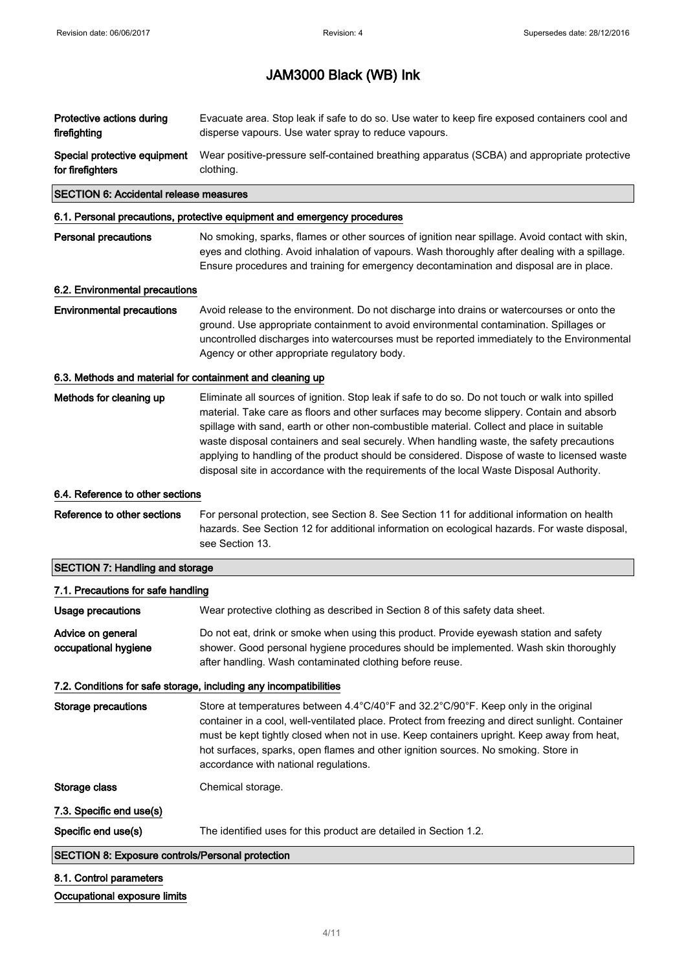| Protective actions during    | Evacuate area. Stop leak if safe to do so. Use water to keep fire exposed containers cool and |
|------------------------------|-----------------------------------------------------------------------------------------------|
| firefighting                 | disperse vapours. Use water spray to reduce vapours.                                          |
| Special protective equipment | Wear positive-pressure self-contained breathing apparatus (SCBA) and appropriate protective   |
| for firefighters             | clothing.                                                                                     |

### SECTION 6: Accidental release measures

### 6.1. Personal precautions, protective equipment and emergency procedures

| Personal precautions | No smoking, sparks, flames or other sources of ignition near spillage. Avoid contact with skin, |
|----------------------|-------------------------------------------------------------------------------------------------|
|                      | eyes and clothing. Avoid inhalation of vapours. Wash thoroughly after dealing with a spillage.  |
|                      | Ensure procedures and training for emergency decontamination and disposal are in place.         |

#### 6.2. Environmental precautions

Environmental precautions Avoid release to the environment. Do not discharge into drains or watercourses or onto the ground. Use appropriate containment to avoid environmental contamination. Spillages or uncontrolled discharges into watercourses must be reported immediately to the Environmental Agency or other appropriate regulatory body.

### 6.3. Methods and material for containment and cleaning up

Methods for cleaning up Eliminate all sources of ignition. Stop leak if safe to do so. Do not touch or walk into spilled material. Take care as floors and other surfaces may become slippery. Contain and absorb spillage with sand, earth or other non-combustible material. Collect and place in suitable waste disposal containers and seal securely. When handling waste, the safety precautions applying to handling of the product should be considered. Dispose of waste to licensed waste disposal site in accordance with the requirements of the local Waste Disposal Authority.

#### 6.4. Reference to other sections

Reference to other sections For personal protection, see Section 8. See Section 11 for additional information on health hazards. See Section 12 for additional information on ecological hazards. For waste disposal, see Section 13.

### SECTION 7: Handling and storage

### 7.1. Precautions for safe handling

| Usage precautions                         | Wear protective clothing as described in Section 8 of this safety data sheet.                                                                                                                                                              |
|-------------------------------------------|--------------------------------------------------------------------------------------------------------------------------------------------------------------------------------------------------------------------------------------------|
| Advice on general<br>occupational hygiene | Do not eat, drink or smoke when using this product. Provide eyewash station and safety<br>shower. Good personal hygiene procedures should be implemented. Wash skin thoroughly<br>after handling. Wash contaminated clothing before reuse. |

### 7.2. Conditions for safe storage, including any incompatibilities

Storage precautions Store at temperatures between 4.4°C/40°F and 32.2°C/90°F. Keep only in the original container in a cool, well-ventilated place. Protect from freezing and direct sunlight. Container must be kept tightly closed when not in use. Keep containers upright. Keep away from heat, hot surfaces, sparks, open flames and other ignition sources. No smoking. Store in accordance with national regulations. Storage class Chemical storage.

7.3. Specific end use(s)

Specific end use(s) The identified uses for this product are detailed in Section 1.2.

### SECTION 8: Exposure controls/Personal protection

### 8.1. Control parameters

### Occupational exposure limits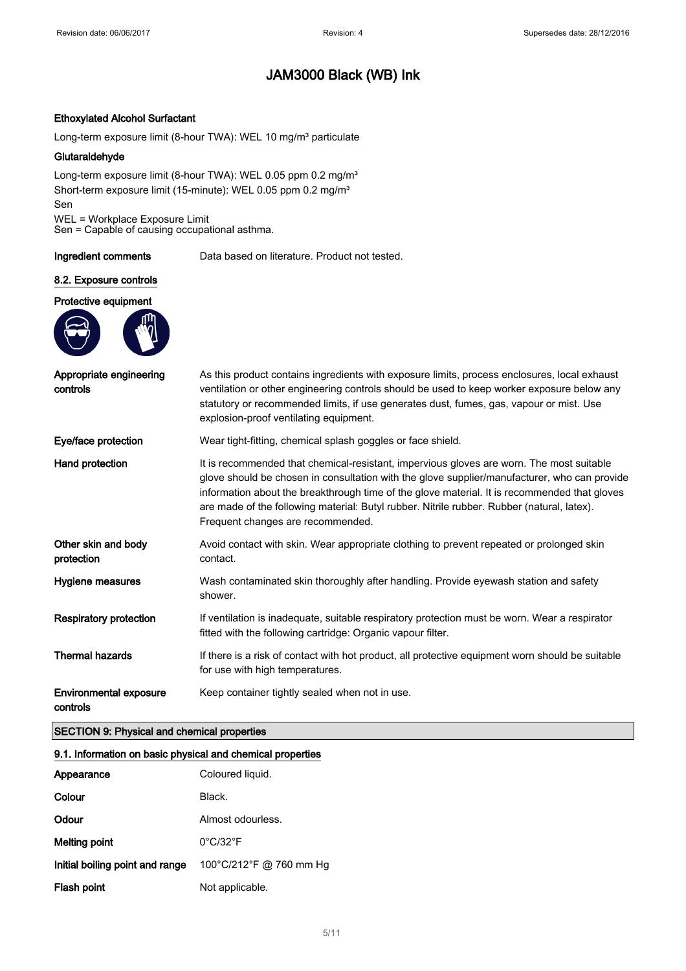### Ethoxylated Alcohol Surfactant

Long-term exposure limit (8-hour TWA): WEL 10 mg/m<sup>3</sup> particulate

### Glutaraldehyde

Long-term exposure limit (8-hour TWA): WEL 0.05 ppm 0.2 mg/m<sup>3</sup> Short-term exposure limit (15-minute): WEL 0.05 ppm 0.2 mg/m<sup>3</sup> Sen WEL = Workplace Exposure Limit

Sen = Capable of causing occupational asthma.

Ingredient comments Data based on literature. Product not tested.

### 8.2. Exposure controls

#### Protective equipment



| Appropriate engineering<br>controls       | As this product contains ingredients with exposure limits, process enclosures, local exhaust<br>ventilation or other engineering controls should be used to keep worker exposure below any<br>statutory or recommended limits, if use generates dust, fumes, gas, vapour or mist. Use<br>explosion-proof ventilating equipment.                                                                                             |  |  |
|-------------------------------------------|-----------------------------------------------------------------------------------------------------------------------------------------------------------------------------------------------------------------------------------------------------------------------------------------------------------------------------------------------------------------------------------------------------------------------------|--|--|
| Eye/face protection                       | Wear tight-fitting, chemical splash goggles or face shield.                                                                                                                                                                                                                                                                                                                                                                 |  |  |
| Hand protection                           | It is recommended that chemical-resistant, impervious gloves are worn. The most suitable<br>glove should be chosen in consultation with the glove supplier/manufacturer, who can provide<br>information about the breakthrough time of the glove material. It is recommended that gloves<br>are made of the following material: Butyl rubber. Nitrile rubber. Rubber (natural, latex).<br>Frequent changes are recommended. |  |  |
| Other skin and body<br>protection         | Avoid contact with skin. Wear appropriate clothing to prevent repeated or prolonged skin<br>contact.                                                                                                                                                                                                                                                                                                                        |  |  |
| Hygiene measures                          | Wash contaminated skin thoroughly after handling. Provide eyewash station and safety<br>shower.                                                                                                                                                                                                                                                                                                                             |  |  |
| <b>Respiratory protection</b>             | If ventilation is inadequate, suitable respiratory protection must be worn. Wear a respirator<br>fitted with the following cartridge: Organic vapour filter.                                                                                                                                                                                                                                                                |  |  |
| <b>Thermal hazards</b>                    | If there is a risk of contact with hot product, all protective equipment worn should be suitable<br>for use with high temperatures.                                                                                                                                                                                                                                                                                         |  |  |
| <b>Environmental exposure</b><br>controls | Keep container tightly sealed when not in use.                                                                                                                                                                                                                                                                                                                                                                              |  |  |

### SECTION 9: Physical and chemical properties

### 9.1. Information on basic physical and chemical properties

| Appearance                      | Coloured liquid.              |
|---------------------------------|-------------------------------|
| Colour                          | Black.                        |
| Odour                           | Almost odourless.             |
| Melting point                   | $0^{\circ}$ C/32 $^{\circ}$ F |
| Initial boiling point and range | 100°C/212°F @ 760 mm Hg       |
| Flash point                     | Not applicable.               |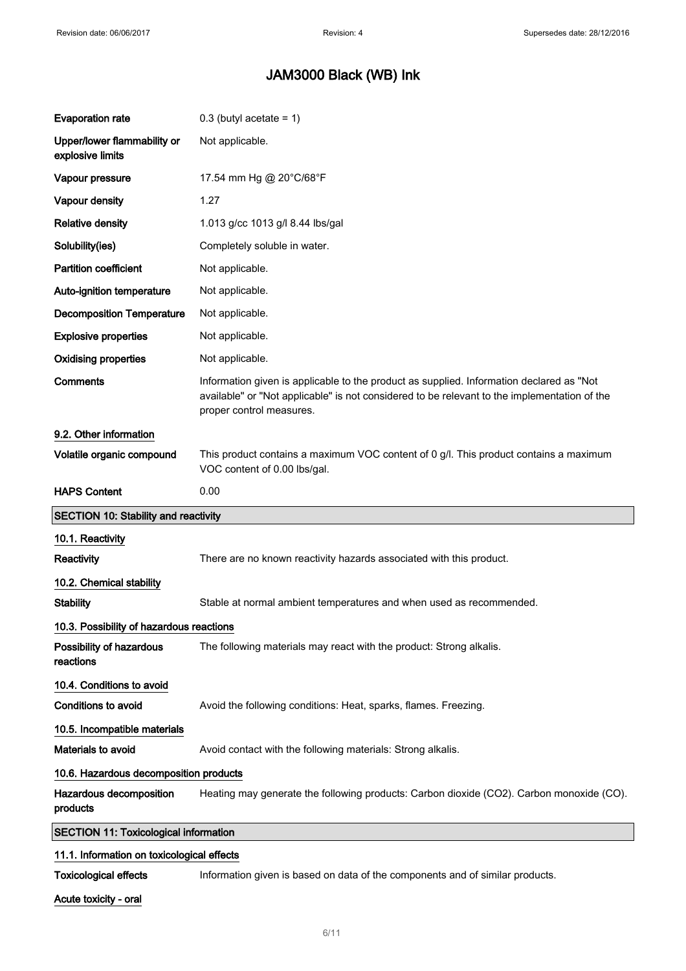| <b>Evaporation rate</b>                         | $0.3$ (butyl acetate = 1)                                                                                                                                                                                            |  |  |
|-------------------------------------------------|----------------------------------------------------------------------------------------------------------------------------------------------------------------------------------------------------------------------|--|--|
| Upper/lower flammability or<br>explosive limits | Not applicable.                                                                                                                                                                                                      |  |  |
| Vapour pressure                                 | 17.54 mm Hg @ 20°C/68°F                                                                                                                                                                                              |  |  |
| Vapour density                                  | 1.27                                                                                                                                                                                                                 |  |  |
| <b>Relative density</b>                         | 1.013 g/cc 1013 g/l 8.44 lbs/gal                                                                                                                                                                                     |  |  |
| Solubility(ies)                                 | Completely soluble in water.                                                                                                                                                                                         |  |  |
| <b>Partition coefficient</b>                    | Not applicable.                                                                                                                                                                                                      |  |  |
| Auto-ignition temperature                       | Not applicable.                                                                                                                                                                                                      |  |  |
| <b>Decomposition Temperature</b>                | Not applicable.                                                                                                                                                                                                      |  |  |
| <b>Explosive properties</b>                     | Not applicable.                                                                                                                                                                                                      |  |  |
| <b>Oxidising properties</b>                     | Not applicable.                                                                                                                                                                                                      |  |  |
| <b>Comments</b>                                 | Information given is applicable to the product as supplied. Information declared as "Not<br>available" or "Not applicable" is not considered to be relevant to the implementation of the<br>proper control measures. |  |  |
| 9.2. Other information                          |                                                                                                                                                                                                                      |  |  |
| Volatile organic compound                       | This product contains a maximum VOC content of 0 g/l. This product contains a maximum<br>VOC content of 0.00 lbs/gal.                                                                                                |  |  |
| <b>HAPS Content</b>                             | 0.00                                                                                                                                                                                                                 |  |  |
|                                                 |                                                                                                                                                                                                                      |  |  |
| <b>SECTION 10: Stability and reactivity</b>     |                                                                                                                                                                                                                      |  |  |
| 10.1. Reactivity                                |                                                                                                                                                                                                                      |  |  |
| <b>Reactivity</b>                               | There are no known reactivity hazards associated with this product.                                                                                                                                                  |  |  |
| 10.2. Chemical stability                        |                                                                                                                                                                                                                      |  |  |
| <b>Stability</b>                                | Stable at normal ambient temperatures and when used as recommended.                                                                                                                                                  |  |  |
| 10.3. Possibility of hazardous reactions        |                                                                                                                                                                                                                      |  |  |
| Possibility of hazardous<br>reactions           | The following materials may react with the product: Strong alkalis.                                                                                                                                                  |  |  |
| 10.4. Conditions to avoid                       |                                                                                                                                                                                                                      |  |  |
| Conditions to avoid                             | Avoid the following conditions: Heat, sparks, flames. Freezing.                                                                                                                                                      |  |  |
| 10.5. Incompatible materials                    |                                                                                                                                                                                                                      |  |  |
| Materials to avoid                              | Avoid contact with the following materials: Strong alkalis.                                                                                                                                                          |  |  |
| 10.6. Hazardous decomposition products          |                                                                                                                                                                                                                      |  |  |
| Hazardous decomposition<br>products             | Heating may generate the following products: Carbon dioxide (CO2). Carbon monoxide (CO).                                                                                                                             |  |  |
| <b>SECTION 11: Toxicological information</b>    |                                                                                                                                                                                                                      |  |  |
| 11.1. Information on toxicological effects      |                                                                                                                                                                                                                      |  |  |

Acute toxicity - oral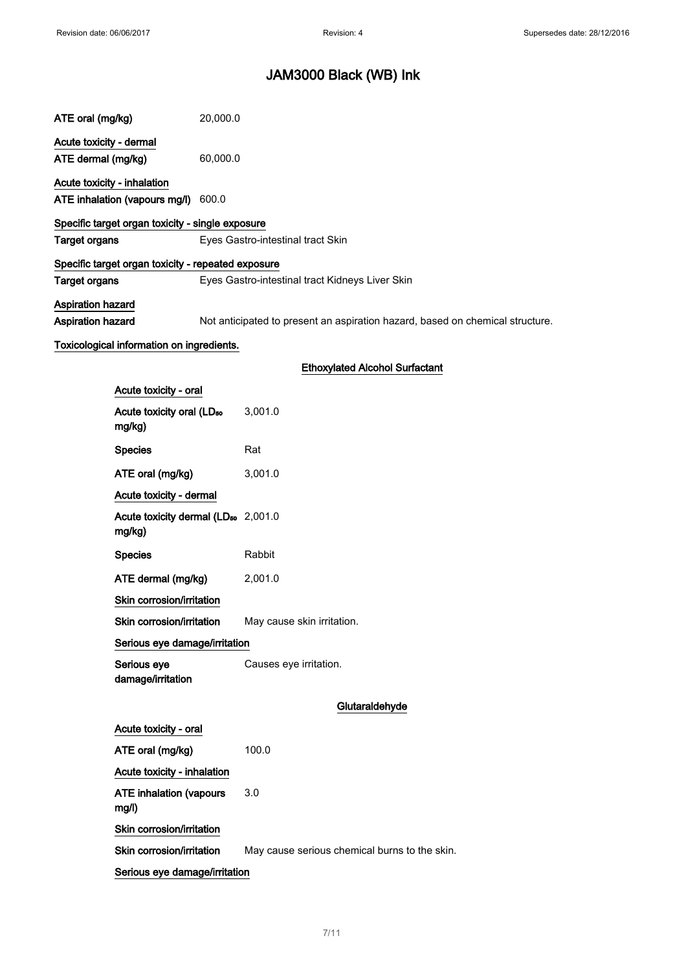| ATE oral (mg/kg)                                          | 20,000.0 |                                                                               |
|-----------------------------------------------------------|----------|-------------------------------------------------------------------------------|
| Acute toxicity - dermal<br>ATE dermal (mg/kg)             | 60,000.0 |                                                                               |
| Acute toxicity - inhalation                               |          |                                                                               |
| ATE inhalation (vapours mg/l) 600.0                       |          |                                                                               |
| Specific target organ toxicity - single exposure          |          |                                                                               |
| <b>Target organs</b>                                      |          | Eyes Gastro-intestinal tract Skin                                             |
| Specific target organ toxicity - repeated exposure        |          |                                                                               |
| <b>Target organs</b>                                      |          | Eyes Gastro-intestinal tract Kidneys Liver Skin                               |
| Aspiration hazard                                         |          |                                                                               |
| Aspiration hazard                                         |          | Not anticipated to present an aspiration hazard, based on chemical structure. |
| Toxicological information on ingredients.                 |          |                                                                               |
|                                                           |          | <b>Ethoxylated Alcohol Surfactant</b>                                         |
|                                                           |          |                                                                               |
| Acute toxicity - oral                                     |          |                                                                               |
| Acute toxicity oral (LD <sub>50</sub><br>mg/kg)           |          | 3,001.0                                                                       |
| <b>Species</b>                                            |          | Rat                                                                           |
| ATE oral (mg/kg)                                          |          | 3,001.0                                                                       |
| Acute toxicity - dermal                                   |          |                                                                               |
| Acute toxicity dermal (LD <sub>50</sub> 2,001.0<br>mg/kg) |          |                                                                               |
| <b>Species</b>                                            |          | Rabbit                                                                        |
| ATE dermal (mg/kg)                                        |          | 2,001.0                                                                       |
| Skin corrosion/irritation                                 |          |                                                                               |
| Skin corrosion/irritation                                 |          | May cause skin irritation.                                                    |
| Serious eye damage/irritation                             |          |                                                                               |
| Serious eye<br>damage/irritation                          |          | Causes eye irritation.                                                        |
|                                                           |          | Glutaraldehyde                                                                |
| Acute toxicity - oral                                     |          |                                                                               |
| ATE oral (mg/kg)                                          |          | 100.0                                                                         |
| Acute toxicity - inhalation                               |          |                                                                               |
| <b>ATE inhalation (vapours</b><br>mg/l)                   |          | 3.0                                                                           |

Skin corrosion/irritation

Skin corrosion/irritation May cause serious chemical burns to the skin.

Serious eye damage/irritation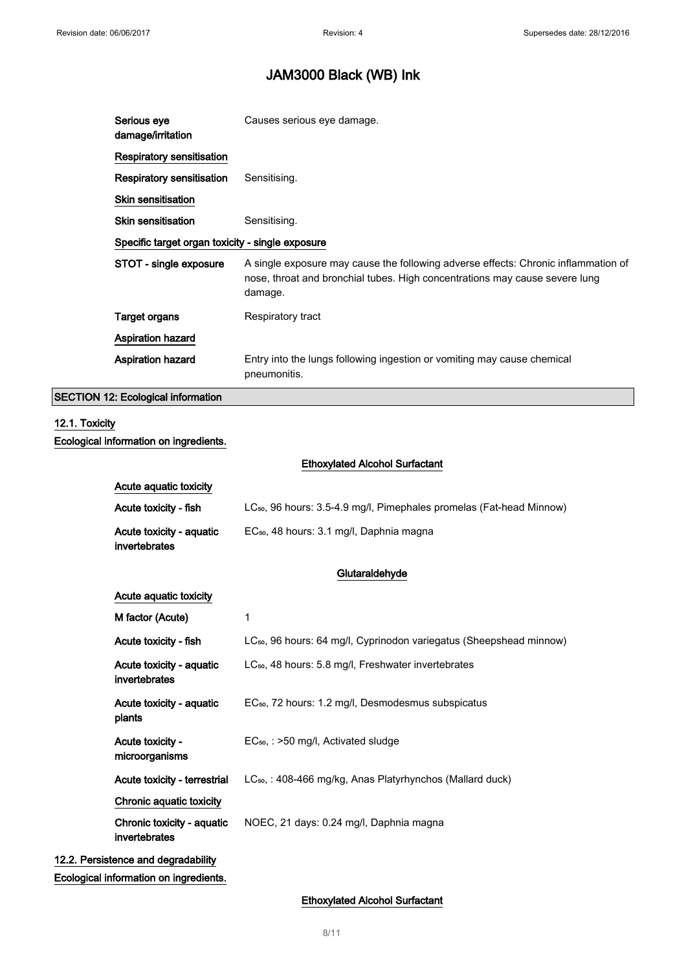| Serious eye<br>damage/irritation                 | Causes serious eye damage.                                                                                                                                                   |  |  |
|--------------------------------------------------|------------------------------------------------------------------------------------------------------------------------------------------------------------------------------|--|--|
| <b>Respiratory sensitisation</b>                 |                                                                                                                                                                              |  |  |
| <b>Respiratory sensitisation</b>                 | Sensitising.                                                                                                                                                                 |  |  |
| <b>Skin sensitisation</b>                        |                                                                                                                                                                              |  |  |
| <b>Skin sensitisation</b>                        | Sensitising.                                                                                                                                                                 |  |  |
| Specific target organ toxicity - single exposure |                                                                                                                                                                              |  |  |
|                                                  |                                                                                                                                                                              |  |  |
| STOT - single exposure                           | A single exposure may cause the following adverse effects: Chronic inflammation of<br>nose, throat and bronchial tubes. High concentrations may cause severe lung<br>damage. |  |  |
| Target organs                                    | Respiratory tract                                                                                                                                                            |  |  |
| <b>Aspiration hazard</b>                         |                                                                                                                                                                              |  |  |

### SECTION 12: Ecological information

### 12.1. Toxicity Ecological information on ingredients.

Ethoxylated Alcohol Surfactant

| Acute aguatic toxicity                    |                                                                                  |  |
|-------------------------------------------|----------------------------------------------------------------------------------|--|
| Acute toxicity - fish                     | LC <sub>50</sub> , 96 hours: 3.5-4.9 mg/l, Pimephales promelas (Fat-head Minnow) |  |
| Acute toxicity - aquatic<br>invertebrates | EC <sub>50</sub> , 48 hours: 3.1 mg/l, Daphnia magna                             |  |

### Glutaraldehyde

| 1                                                                               |
|---------------------------------------------------------------------------------|
| LC <sub>50</sub> , 96 hours: 64 mg/l, Cyprinodon variegatus (Sheepshead minnow) |
| LC <sub>50</sub> , 48 hours: 5.8 mg/l, Freshwater invertebrates                 |
| EC <sub>50</sub> , 72 hours: 1.2 mg/l, Desmodesmus subspicatus                  |
| $EC_{50}$ , : >50 mg/l, Activated sludge                                        |
| $LC_{50}$ , : 408-466 mg/kg, Anas Platyrhynchos (Mallard duck)                  |
|                                                                                 |
| NOEC, 21 days: 0.24 mg/l, Daphnia magna                                         |
|                                                                                 |
|                                                                                 |

Ecological information on ingredients.

### Ethoxylated Alcohol Surfactant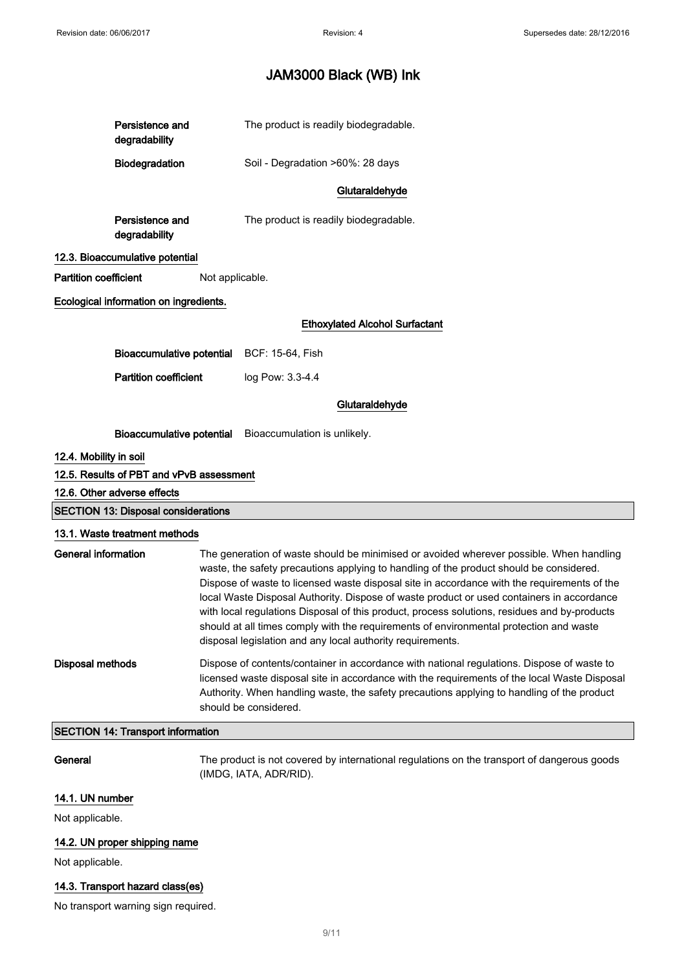|                              | Persistence and<br>degradability           |                                                                                                                                                                                                                                                                                                                   | The product is readily biodegradable.                                                                                                                                                                                                                                                                                                                                                                                                                                                                                                                                                                                                  |
|------------------------------|--------------------------------------------|-------------------------------------------------------------------------------------------------------------------------------------------------------------------------------------------------------------------------------------------------------------------------------------------------------------------|----------------------------------------------------------------------------------------------------------------------------------------------------------------------------------------------------------------------------------------------------------------------------------------------------------------------------------------------------------------------------------------------------------------------------------------------------------------------------------------------------------------------------------------------------------------------------------------------------------------------------------------|
|                              | Biodegradation                             |                                                                                                                                                                                                                                                                                                                   | Soil - Degradation >60%: 28 days                                                                                                                                                                                                                                                                                                                                                                                                                                                                                                                                                                                                       |
|                              |                                            |                                                                                                                                                                                                                                                                                                                   | Glutaraldehyde                                                                                                                                                                                                                                                                                                                                                                                                                                                                                                                                                                                                                         |
|                              | Persistence and<br>degradability           |                                                                                                                                                                                                                                                                                                                   | The product is readily biodegradable.                                                                                                                                                                                                                                                                                                                                                                                                                                                                                                                                                                                                  |
|                              | 12.3. Bioaccumulative potential            |                                                                                                                                                                                                                                                                                                                   |                                                                                                                                                                                                                                                                                                                                                                                                                                                                                                                                                                                                                                        |
| <b>Partition coefficient</b> |                                            | Not applicable.                                                                                                                                                                                                                                                                                                   |                                                                                                                                                                                                                                                                                                                                                                                                                                                                                                                                                                                                                                        |
|                              | Ecological information on ingredients.     |                                                                                                                                                                                                                                                                                                                   |                                                                                                                                                                                                                                                                                                                                                                                                                                                                                                                                                                                                                                        |
|                              |                                            |                                                                                                                                                                                                                                                                                                                   | <b>Ethoxylated Alcohol Surfactant</b>                                                                                                                                                                                                                                                                                                                                                                                                                                                                                                                                                                                                  |
|                              | <b>Bioaccumulative potential</b>           |                                                                                                                                                                                                                                                                                                                   | BCF: 15-64, Fish                                                                                                                                                                                                                                                                                                                                                                                                                                                                                                                                                                                                                       |
|                              | <b>Partition coefficient</b>               |                                                                                                                                                                                                                                                                                                                   | log Pow: 3.3-4.4                                                                                                                                                                                                                                                                                                                                                                                                                                                                                                                                                                                                                       |
|                              |                                            |                                                                                                                                                                                                                                                                                                                   |                                                                                                                                                                                                                                                                                                                                                                                                                                                                                                                                                                                                                                        |
|                              |                                            |                                                                                                                                                                                                                                                                                                                   | Glutaraldehyde                                                                                                                                                                                                                                                                                                                                                                                                                                                                                                                                                                                                                         |
|                              | <b>Bioaccumulative potential</b>           |                                                                                                                                                                                                                                                                                                                   | Bioaccumulation is unlikely.                                                                                                                                                                                                                                                                                                                                                                                                                                                                                                                                                                                                           |
| 12.4. Mobility in soil       |                                            |                                                                                                                                                                                                                                                                                                                   |                                                                                                                                                                                                                                                                                                                                                                                                                                                                                                                                                                                                                                        |
|                              | 12.5. Results of PBT and vPvB assessment   |                                                                                                                                                                                                                                                                                                                   |                                                                                                                                                                                                                                                                                                                                                                                                                                                                                                                                                                                                                                        |
|                              | 12.6. Other adverse effects                |                                                                                                                                                                                                                                                                                                                   |                                                                                                                                                                                                                                                                                                                                                                                                                                                                                                                                                                                                                                        |
|                              | <b>SECTION 13: Disposal considerations</b> |                                                                                                                                                                                                                                                                                                                   |                                                                                                                                                                                                                                                                                                                                                                                                                                                                                                                                                                                                                                        |
|                              | 13.1. Waste treatment methods              |                                                                                                                                                                                                                                                                                                                   |                                                                                                                                                                                                                                                                                                                                                                                                                                                                                                                                                                                                                                        |
| <b>General information</b>   |                                            |                                                                                                                                                                                                                                                                                                                   | The generation of waste should be minimised or avoided wherever possible. When handling<br>waste, the safety precautions applying to handling of the product should be considered.<br>Dispose of waste to licensed waste disposal site in accordance with the requirements of the<br>local Waste Disposal Authority. Dispose of waste product or used containers in accordance<br>with local regulations Disposal of this product, process solutions, residues and by-products<br>should at all times comply with the requirements of environmental protection and waste<br>disposal legislation and any local authority requirements. |
| <b>Disposal methods</b>      |                                            | Dispose of contents/container in accordance with national regulations. Dispose of waste to<br>licensed waste disposal site in accordance with the requirements of the local Waste Disposal<br>Authority. When handling waste, the safety precautions applying to handling of the product<br>should be considered. |                                                                                                                                                                                                                                                                                                                                                                                                                                                                                                                                                                                                                                        |
|                              | <b>SECTION 14: Transport information</b>   |                                                                                                                                                                                                                                                                                                                   |                                                                                                                                                                                                                                                                                                                                                                                                                                                                                                                                                                                                                                        |
| General                      |                                            |                                                                                                                                                                                                                                                                                                                   | The product is not covered by international regulations on the transport of dangerous goods<br>(IMDG, IATA, ADR/RID).                                                                                                                                                                                                                                                                                                                                                                                                                                                                                                                  |
| 14.1. UN number              |                                            |                                                                                                                                                                                                                                                                                                                   |                                                                                                                                                                                                                                                                                                                                                                                                                                                                                                                                                                                                                                        |
| Not applicable.              |                                            |                                                                                                                                                                                                                                                                                                                   |                                                                                                                                                                                                                                                                                                                                                                                                                                                                                                                                                                                                                                        |
|                              | 14.2. UN proper shipping name              |                                                                                                                                                                                                                                                                                                                   |                                                                                                                                                                                                                                                                                                                                                                                                                                                                                                                                                                                                                                        |

Not applicable.

### 14.3. Transport hazard class(es)

No transport warning sign required.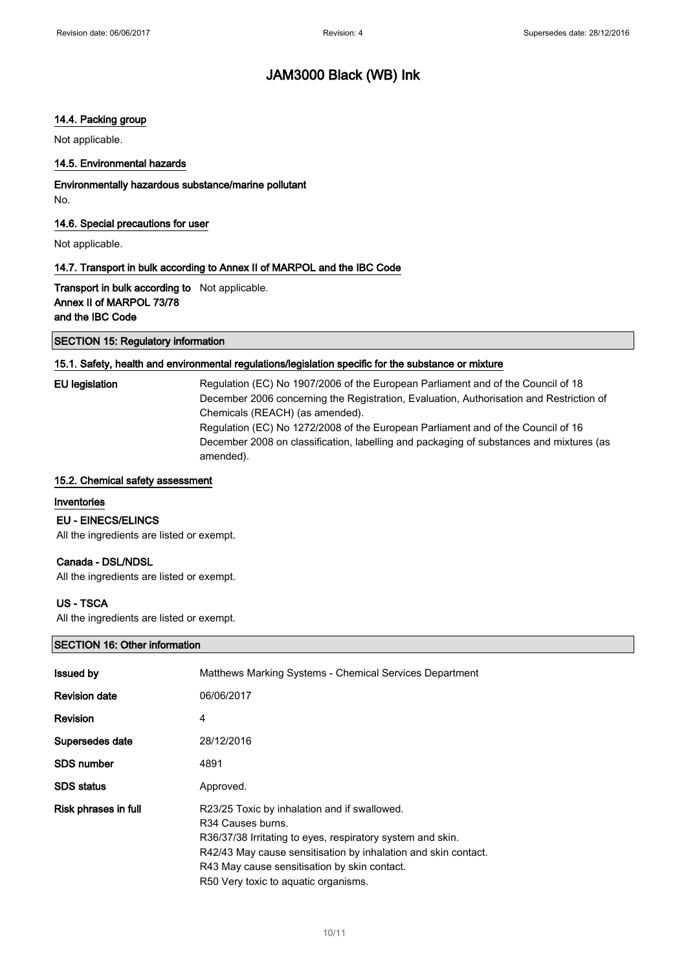### 14.4. Packing group

Not applicable.

### 14.5. Environmental hazards

Environmentally hazardous substance/marine pollutant No.

### 14.6. Special precautions for user

Not applicable.

### 14.7. Transport in bulk according to Annex II of MARPOL and the IBC Code

Transport in bulk according to Not applicable. Annex II of MARPOL 73/78 and the IBC Code

### SECTION 15: Regulatory information

### 15.1. Safety, health and environmental regulations/legislation specific for the substance or mixture

EU legislation Regulation (EC) No 1907/2006 of the European Parliament and of the Council of 18 December 2006 concerning the Registration, Evaluation, Authorisation and Restriction of Chemicals (REACH) (as amended). Regulation (EC) No 1272/2008 of the European Parliament and of the Council of 16 December 2008 on classification, labelling and packaging of substances and mixtures (as amended).

### 15.2. Chemical safety assessment

### Inventories

### EU - EINECS/ELINCS

All the ingredients are listed or exempt.

### Canada - DSL/NDSL

All the ingredients are listed or exempt.

### US - TSCA

All the ingredients are listed or exempt.

### SECTION 16: Other information

| <b>Issued by</b>     | Matthews Marking Systems - Chemical Services Department                                                                                                                                                                                                                                               |
|----------------------|-------------------------------------------------------------------------------------------------------------------------------------------------------------------------------------------------------------------------------------------------------------------------------------------------------|
| <b>Revision date</b> | 06/06/2017                                                                                                                                                                                                                                                                                            |
| <b>Revision</b>      | 4                                                                                                                                                                                                                                                                                                     |
| Supersedes date      | 28/12/2016                                                                                                                                                                                                                                                                                            |
| <b>SDS number</b>    | 4891                                                                                                                                                                                                                                                                                                  |
| <b>SDS</b> status    | Approved.                                                                                                                                                                                                                                                                                             |
| Risk phrases in full | R23/25 Toxic by inhalation and if swallowed.<br>R <sub>34</sub> Causes burns.<br>R36/37/38 Irritating to eyes, respiratory system and skin.<br>R42/43 May cause sensitisation by inhalation and skin contact.<br>R43 May cause sensitisation by skin contact.<br>R50 Very toxic to aquatic organisms. |